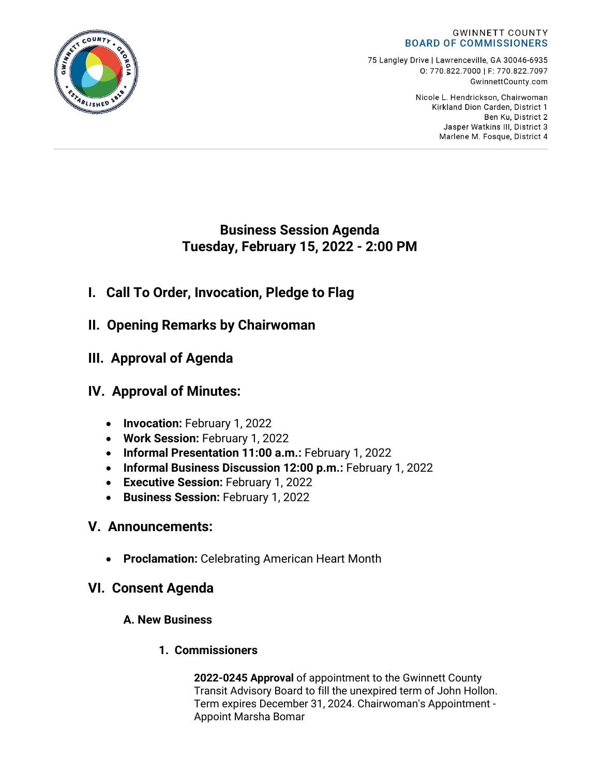#### **GWINNETT COUNTY BOARD OF COMMISSIONERS**

75 Langley Drive | Lawrenceville, GA 30046-6935 0:770.822.7000 | F: 770.822.7097 GwinnettCounty.com

> Nicole L. Hendrickson, Chairwoman Kirkland Dion Carden, District 1 Ben Ku. District 2 Jasper Watkins III, District 3 Marlene M. Fosque, District 4

# **Business Session Agenda Tuesday, February 15, 2022 - 2:00 PM**

- **I. Call To Order, Invocation, Pledge to Flag**
- **II. Opening Remarks by Chairwoman**
- **III. Approval of Agenda**

# **IV. Approval of Minutes:**

- **Invocation:** February 1, 2022
- **Work Session:** February 1, 2022
- **Informal Presentation 11:00 a.m.:** February 1, 2022
- **Informal Business Discussion 12:00 p.m.:** February 1, 2022
- **Executive Session:** February 1, 2022
- **Business Session:** February 1, 2022

# **V. Announcements:**

• **Proclamation:** Celebrating American Heart Month

# **VI. Consent Agenda**

## **A. New Business**

## **1. Commissioners**

**2022-0245 Approval** of appointment to the Gwinnett County Transit Advisory Board to fill the unexpired term of John Hollon. Term expires December 31, 2024. Chairwoman's Appointment - Appoint Marsha Bomar

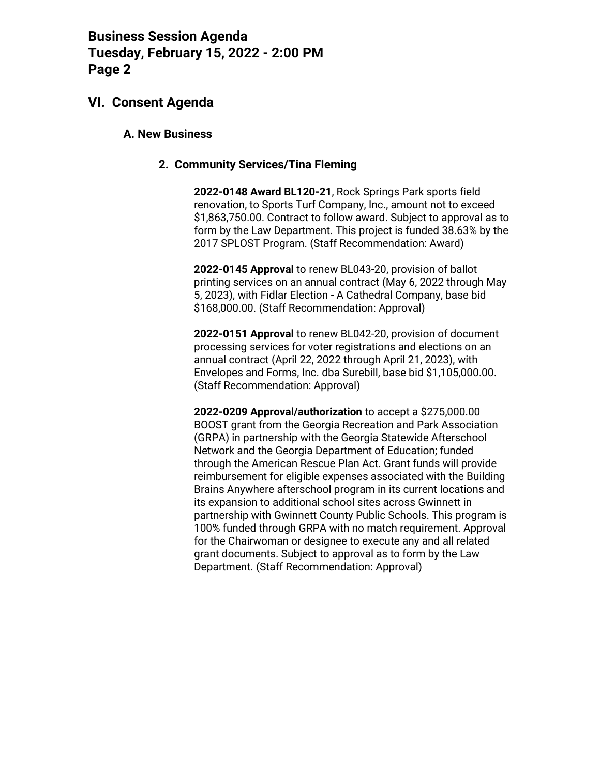### **VI. Consent Agenda**

#### **A. New Business**

#### **2. Community Services/Tina Fleming**

**2022-0148 Award BL120-21**, Rock Springs Park sports field renovation, to Sports Turf Company, Inc., amount not to exceed \$1,863,750.00. Contract to follow award. Subject to approval as to form by the Law Department. This project is funded 38.63% by the 2017 SPLOST Program. (Staff Recommendation: Award)

**2022-0145 Approval** to renew BL043-20, provision of ballot printing services on an annual contract (May 6, 2022 through May 5, 2023), with Fidlar Election - A Cathedral Company, base bid \$168,000.00. (Staff Recommendation: Approval)

**2022-0151 Approval** to renew BL042-20, provision of document processing services for voter registrations and elections on an annual contract (April 22, 2022 through April 21, 2023), with Envelopes and Forms, Inc. dba Surebill, base bid \$1,105,000.00. (Staff Recommendation: Approval)

**2022-0209 Approval/authorization** to accept a \$275,000.00 BOOST grant from the Georgia Recreation and Park Association (GRPA) in partnership with the Georgia Statewide Afterschool Network and the Georgia Department of Education; funded through the American Rescue Plan Act. Grant funds will provide reimbursement for eligible expenses associated with the Building Brains Anywhere afterschool program in its current locations and its expansion to additional school sites across Gwinnett in partnership with Gwinnett County Public Schools. This program is 100% funded through GRPA with no match requirement. Approval for the Chairwoman or designee to execute any and all related grant documents. Subject to approval as to form by the Law Department. (Staff Recommendation: Approval)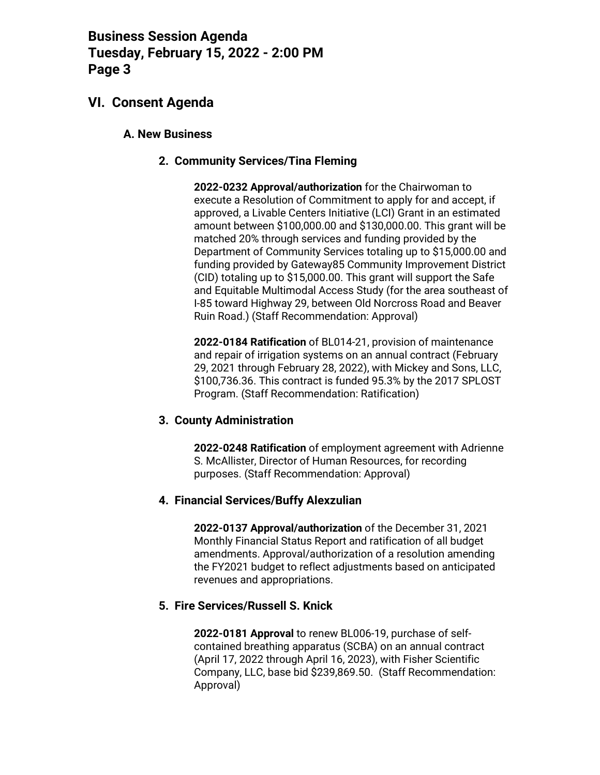## **VI. Consent Agenda**

### **A. New Business**

### **2. Community Services/Tina Fleming**

**2022-0232 Approval/authorization** for the Chairwoman to execute a Resolution of Commitment to apply for and accept, if approved, a Livable Centers Initiative (LCI) Grant in an estimated amount between \$100,000.00 and \$130,000.00. This grant will be matched 20% through services and funding provided by the Department of Community Services totaling up to \$15,000.00 and funding provided by Gateway85 Community Improvement District (CID) totaling up to \$15,000.00. This grant will support the Safe and Equitable Multimodal Access Study (for the area southeast of I-85 toward Highway 29, between Old Norcross Road and Beaver Ruin Road.) (Staff Recommendation: Approval)

**2022-0184 Ratification** of BL014-21, provision of maintenance and repair of irrigation systems on an annual contract (February 29, 2021 through February 28, 2022), with Mickey and Sons, LLC, \$100,736.36. This contract is funded 95.3% by the 2017 SPLOST Program. (Staff Recommendation: Ratification)

#### **3. County Administration**

**2022-0248 Ratification** of employment agreement with Adrienne S. McAllister, Director of Human Resources, for recording purposes. (Staff Recommendation: Approval)

#### **4. Financial Services/Buffy Alexzulian**

**2022-0137 Approval/authorization** of the December 31, 2021 Monthly Financial Status Report and ratification of all budget amendments. Approval/authorization of a resolution amending the FY2021 budget to reflect adjustments based on anticipated revenues and appropriations.

#### **5. Fire Services/Russell S. Knick**

**2022-0181 Approval** to renew BL006-19, purchase of selfcontained breathing apparatus (SCBA) on an annual contract (April 17, 2022 through April 16, 2023), with Fisher Scientific Company, LLC, base bid \$239,869.50. (Staff Recommendation: Approval)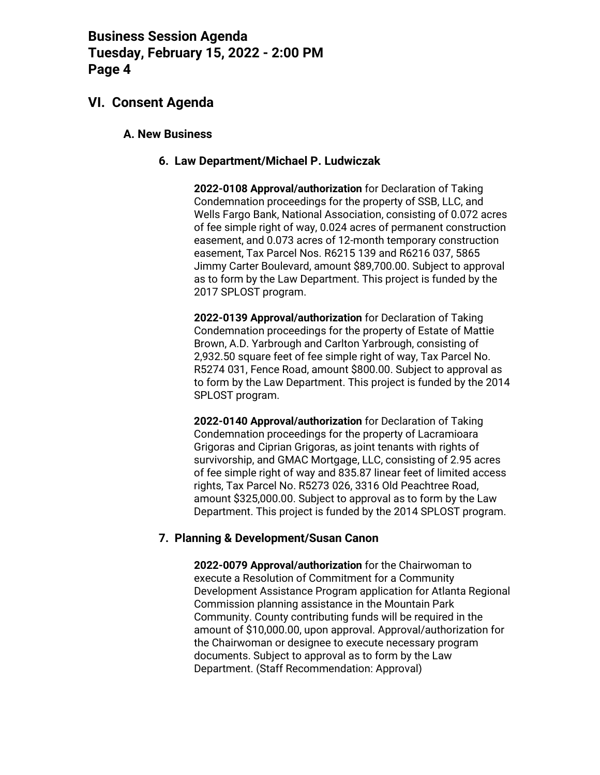## **VI. Consent Agenda**

#### **A. New Business**

#### **6. Law Department/Michael P. Ludwiczak**

**2022-0108 Approval/authorization** for Declaration of Taking Condemnation proceedings for the property of SSB, LLC, and Wells Fargo Bank, National Association, consisting of 0.072 acres of fee simple right of way, 0.024 acres of permanent construction easement, and 0.073 acres of 12-month temporary construction easement, Tax Parcel Nos. R6215 139 and R6216 037, 5865 Jimmy Carter Boulevard, amount \$89,700.00. Subject to approval as to form by the Law Department. This project is funded by the 2017 SPLOST program.

**2022-0139 Approval/authorization** for Declaration of Taking Condemnation proceedings for the property of Estate of Mattie Brown, A.D. Yarbrough and Carlton Yarbrough, consisting of 2,932.50 square feet of fee simple right of way, Tax Parcel No. R5274 031, Fence Road, amount \$800.00. Subject to approval as to form by the Law Department. This project is funded by the 2014 SPLOST program.

**2022-0140 Approval/authorization** for Declaration of Taking Condemnation proceedings for the property of Lacramioara Grigoras and Ciprian Grigoras, as joint tenants with rights of survivorship, and GMAC Mortgage, LLC, consisting of 2.95 acres of fee simple right of way and 835.87 linear feet of limited access rights, Tax Parcel No. R5273 026, 3316 Old Peachtree Road, amount \$325,000.00. Subject to approval as to form by the Law Department. This project is funded by the 2014 SPLOST program.

#### **7. Planning & Development/Susan Canon**

**2022-0079 Approval/authorization** for the Chairwoman to execute a Resolution of Commitment for a Community Development Assistance Program application for Atlanta Regional Commission planning assistance in the Mountain Park Community. County contributing funds will be required in the amount of \$10,000.00, upon approval. Approval/authorization for the Chairwoman or designee to execute necessary program documents. Subject to approval as to form by the Law Department. (Staff Recommendation: Approval)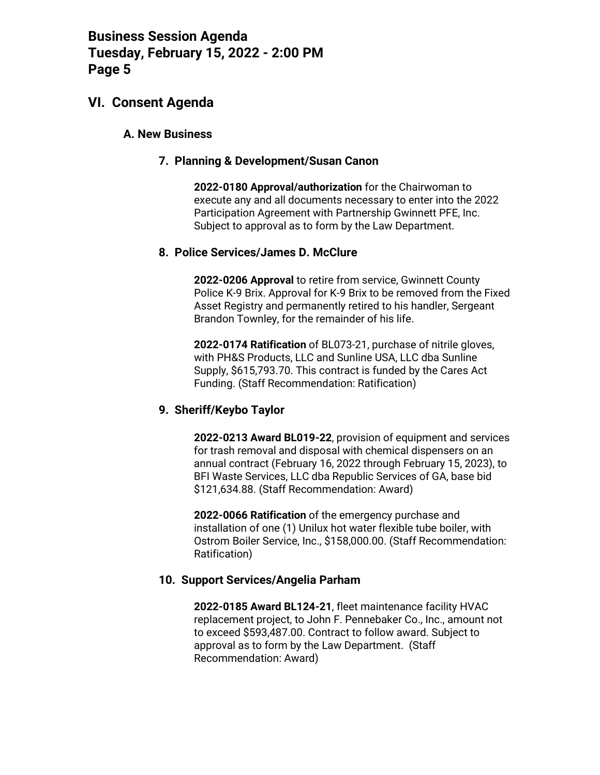### **VI. Consent Agenda**

#### **A. New Business**

#### **7. Planning & Development/Susan Canon**

**2022-0180 Approval/authorization** for the Chairwoman to execute any and all documents necessary to enter into the 2022 Participation Agreement with Partnership Gwinnett PFE, Inc. Subject to approval as to form by the Law Department.

#### **8. Police Services/James D. McClure**

**2022-0206 Approval** to retire from service, Gwinnett County Police K-9 Brix. Approval for K-9 Brix to be removed from the Fixed Asset Registry and permanently retired to his handler, Sergeant Brandon Townley, for the remainder of his life.

**2022-0174 Ratification** of BL073-21, purchase of nitrile gloves, with PH&S Products, LLC and Sunline USA, LLC dba Sunline Supply, \$615,793.70. This contract is funded by the Cares Act Funding. (Staff Recommendation: Ratification)

#### **9. Sheriff/Keybo Taylor**

**2022-0213 Award BL019-22**, provision of equipment and services for trash removal and disposal with chemical dispensers on an annual contract (February 16, 2022 through February 15, 2023), to BFI Waste Services, LLC dba Republic Services of GA, base bid \$121,634.88. (Staff Recommendation: Award)

**2022-0066 Ratification** of the emergency purchase and installation of one (1) Unilux hot water flexible tube boiler, with Ostrom Boiler Service, Inc., \$158,000.00. (Staff Recommendation: Ratification)

#### **10. Support Services/Angelia Parham**

**2022-0185 Award BL124-21**, fleet maintenance facility HVAC replacement project, to John F. Pennebaker Co., Inc., amount not to exceed \$593,487.00. Contract to follow award. Subject to approval as to form by the Law Department. (Staff Recommendation: Award)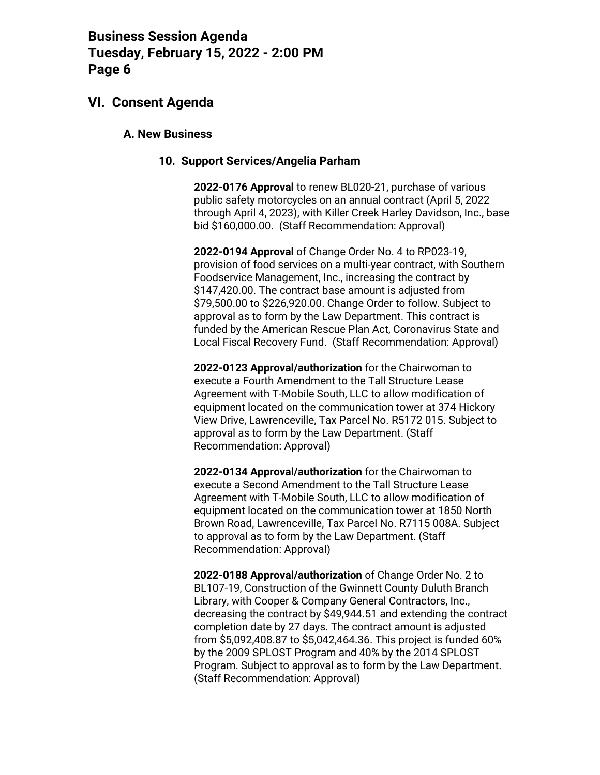### **VI. Consent Agenda**

#### **A. New Business**

#### **10. Support Services/Angelia Parham**

**2022-0176 Approval** to renew BL020-21, purchase of various public safety motorcycles on an annual contract (April 5, 2022 through April 4, 2023), with Killer Creek Harley Davidson, Inc., base bid \$160,000.00. (Staff Recommendation: Approval)

**2022-0194 Approval** of Change Order No. 4 to RP023-19, provision of food services on a multi-year contract, with Southern Foodservice Management, Inc., increasing the contract by \$147,420.00. The contract base amount is adjusted from \$79,500.00 to \$226,920.00. Change Order to follow. Subject to approval as to form by the Law Department. This contract is funded by the American Rescue Plan Act, Coronavirus State and Local Fiscal Recovery Fund. (Staff Recommendation: Approval)

**2022-0123 Approval/authorization** for the Chairwoman to execute a Fourth Amendment to the Tall Structure Lease Agreement with T-Mobile South, LLC to allow modification of equipment located on the communication tower at 374 Hickory View Drive, Lawrenceville, Tax Parcel No. R5172 015. Subject to approval as to form by the Law Department. (Staff Recommendation: Approval)

**2022-0134 Approval/authorization** for the Chairwoman to execute a Second Amendment to the Tall Structure Lease Agreement with T-Mobile South, LLC to allow modification of equipment located on the communication tower at 1850 North Brown Road, Lawrenceville, Tax Parcel No. R7115 008A. Subject to approval as to form by the Law Department. (Staff Recommendation: Approval)

**2022-0188 Approval/authorization** of Change Order No. 2 to BL107-19, Construction of the Gwinnett County Duluth Branch Library, with Cooper & Company General Contractors, Inc., decreasing the contract by \$49,944.51 and extending the contract completion date by 27 days. The contract amount is adjusted from \$5,092,408.87 to \$5,042,464.36. This project is funded 60% by the 2009 SPLOST Program and 40% by the 2014 SPLOST Program. Subject to approval as to form by the Law Department. (Staff Recommendation: Approval)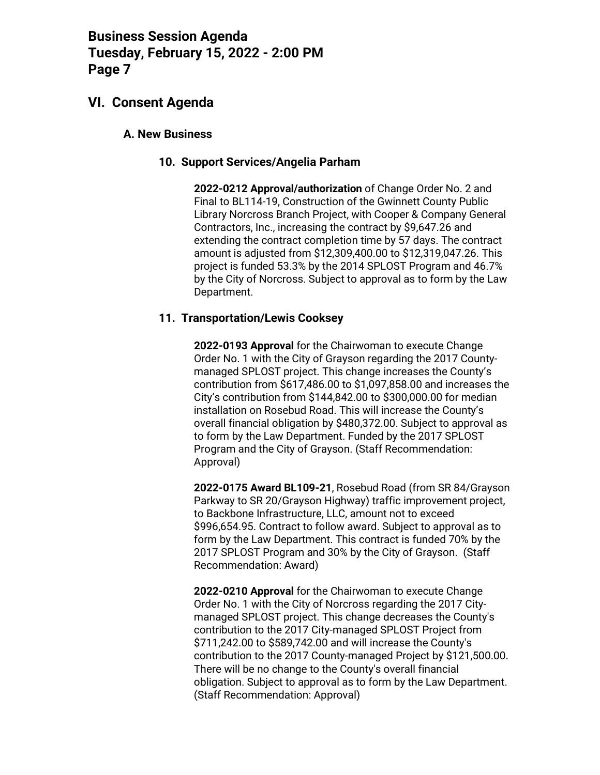## **VI. Consent Agenda**

### **A. New Business**

### **10. Support Services/Angelia Parham**

**2022-0212 Approval/authorization** of Change Order No. 2 and Final to BL114-19, Construction of the Gwinnett County Public Library Norcross Branch Project, with Cooper & Company General Contractors, Inc., increasing the contract by \$9,647.26 and extending the contract completion time by 57 days. The contract amount is adjusted from \$12,309,400.00 to \$12,319,047.26. This project is funded 53.3% by the 2014 SPLOST Program and 46.7% by the City of Norcross. Subject to approval as to form by the Law Department.

### **11. Transportation/Lewis Cooksey**

**2022-0193 Approval** for the Chairwoman to execute Change Order No. 1 with the City of Grayson regarding the 2017 Countymanaged SPLOST project. This change increases the County's contribution from \$617,486.00 to \$1,097,858.00 and increases the City's contribution from \$144,842.00 to \$300,000.00 for median installation on Rosebud Road. This will increase the County's overall financial obligation by \$480,372.00. Subject to approval as to form by the Law Department. Funded by the 2017 SPLOST Program and the City of Grayson. (Staff Recommendation: Approval)

**2022-0175 Award BL109-21**, Rosebud Road (from SR 84/Grayson Parkway to SR 20/Grayson Highway) traffic improvement project, to Backbone Infrastructure, LLC, amount not to exceed \$996,654.95. Contract to follow award. Subject to approval as to form by the Law Department. This contract is funded 70% by the 2017 SPLOST Program and 30% by the City of Grayson. (Staff Recommendation: Award)

**2022-0210 Approval** for the Chairwoman to execute Change Order No. 1 with the City of Norcross regarding the 2017 Citymanaged SPLOST project. This change decreases the County's contribution to the 2017 City-managed SPLOST Project from \$711,242.00 to \$589,742.00 and will increase the County's contribution to the 2017 County-managed Project by \$121,500.00. There will be no change to the County's overall financial obligation. Subject to approval as to form by the Law Department. (Staff Recommendation: Approval)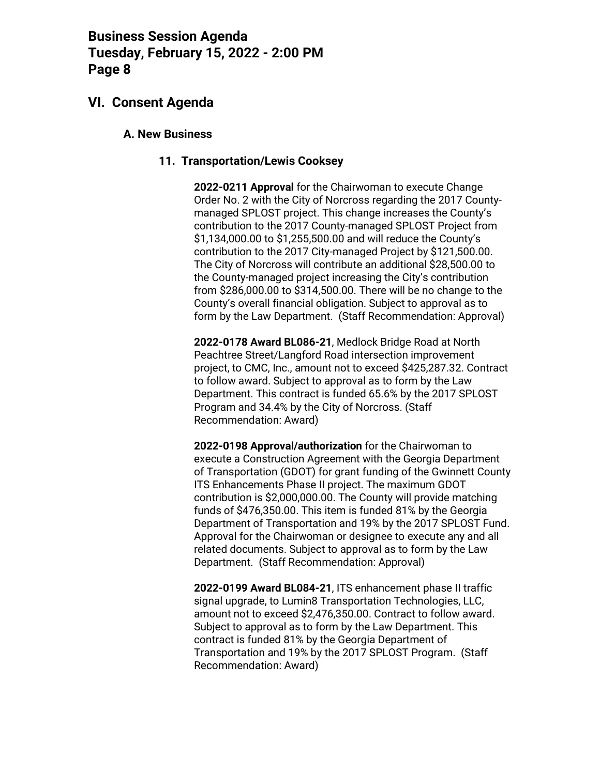## **VI. Consent Agenda**

#### **A. New Business**

#### **11. Transportation/Lewis Cooksey**

**2022-0211 Approval** for the Chairwoman to execute Change Order No. 2 with the City of Norcross regarding the 2017 Countymanaged SPLOST project. This change increases the County's contribution to the 2017 County-managed SPLOST Project from \$1,134,000.00 to \$1,255,500.00 and will reduce the County's contribution to the 2017 City-managed Project by \$121,500.00. The City of Norcross will contribute an additional \$28,500.00 to the County-managed project increasing the City's contribution from \$286,000.00 to \$314,500.00. There will be no change to the County's overall financial obligation. Subject to approval as to form by the Law Department. (Staff Recommendation: Approval)

**2022-0178 Award BL086-21**, Medlock Bridge Road at North Peachtree Street/Langford Road intersection improvement project, to CMC, Inc., amount not to exceed \$425,287.32. Contract to follow award. Subject to approval as to form by the Law Department. This contract is funded 65.6% by the 2017 SPLOST Program and 34.4% by the City of Norcross. (Staff Recommendation: Award)

**2022-0198 Approval/authorization** for the Chairwoman to execute a Construction Agreement with the Georgia Department of Transportation (GDOT) for grant funding of the Gwinnett County ITS Enhancements Phase II project. The maximum GDOT contribution is \$2,000,000.00. The County will provide matching funds of \$476,350.00. This item is funded 81% by the Georgia Department of Transportation and 19% by the 2017 SPLOST Fund. Approval for the Chairwoman or designee to execute any and all related documents. Subject to approval as to form by the Law Department. (Staff Recommendation: Approval)

**2022-0199 Award BL084-21**, ITS enhancement phase II traffic signal upgrade, to Lumin8 Transportation Technologies, LLC, amount not to exceed \$2,476,350.00. Contract to follow award. Subject to approval as to form by the Law Department. This contract is funded 81% by the Georgia Department of Transportation and 19% by the 2017 SPLOST Program. (Staff Recommendation: Award)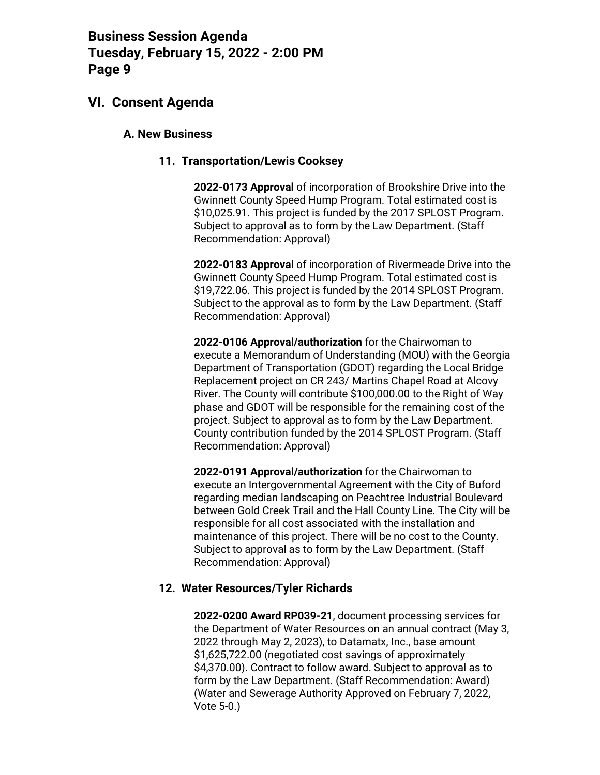### **VI. Consent Agenda**

#### **A. New Business**

#### **11. Transportation/Lewis Cooksey**

**2022-0173 Approval** of incorporation of Brookshire Drive into the Gwinnett County Speed Hump Program. Total estimated cost is \$10,025.91. This project is funded by the 2017 SPLOST Program. Subject to approval as to form by the Law Department. (Staff Recommendation: Approval)

**2022-0183 Approval** of incorporation of Rivermeade Drive into the Gwinnett County Speed Hump Program. Total estimated cost is \$19,722.06. This project is funded by the 2014 SPLOST Program. Subject to the approval as to form by the Law Department. (Staff Recommendation: Approval)

**2022-0106 Approval/authorization** for the Chairwoman to execute a Memorandum of Understanding (MOU) with the Georgia Department of Transportation (GDOT) regarding the Local Bridge Replacement project on CR 243/ Martins Chapel Road at Alcovy River. The County will contribute \$100,000.00 to the Right of Way phase and GDOT will be responsible for the remaining cost of the project. Subject to approval as to form by the Law Department. County contribution funded by the 2014 SPLOST Program. (Staff Recommendation: Approval)

**2022-0191 Approval/authorization** for the Chairwoman to execute an Intergovernmental Agreement with the City of Buford regarding median landscaping on Peachtree Industrial Boulevard between Gold Creek Trail and the Hall County Line. The City will be responsible for all cost associated with the installation and maintenance of this project. There will be no cost to the County. Subject to approval as to form by the Law Department. (Staff Recommendation: Approval)

#### **12. Water Resources/Tyler Richards**

**2022-0200 Award RP039-21**, document processing services for the Department of Water Resources on an annual contract (May 3, 2022 through May 2, 2023), to Datamatx, Inc., base amount \$1,625,722.00 (negotiated cost savings of approximately \$4,370.00). Contract to follow award. Subject to approval as to form by the Law Department. (Staff Recommendation: Award) (Water and Sewerage Authority Approved on February 7, 2022, Vote 5-0.)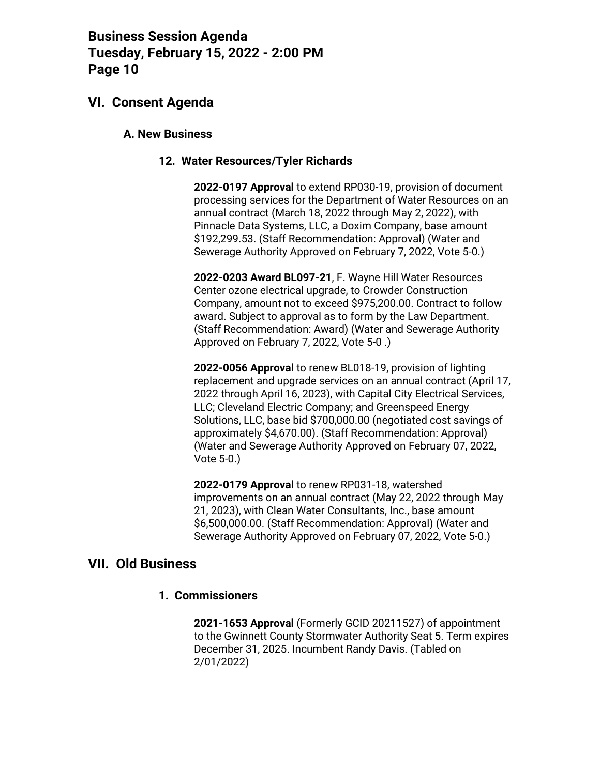### **VI. Consent Agenda**

#### **A. New Business**

#### **12. Water Resources/Tyler Richards**

**2022-0197 Approval** to extend RP030-19, provision of document processing services for the Department of Water Resources on an annual contract (March 18, 2022 through May 2, 2022), with Pinnacle Data Systems, LLC, a Doxim Company, base amount \$192,299.53. (Staff Recommendation: Approval) (Water and Sewerage Authority Approved on February 7, 2022, Vote 5-0.)

**2022-0203 Award BL097-21**, F. Wayne Hill Water Resources Center ozone electrical upgrade, to Crowder Construction Company, amount not to exceed \$975,200.00. Contract to follow award. Subject to approval as to form by the Law Department. (Staff Recommendation: Award) (Water and Sewerage Authority Approved on February 7, 2022, Vote 5-0 .)

**2022-0056 Approval** to renew BL018-19, provision of lighting replacement and upgrade services on an annual contract (April 17, 2022 through April 16, 2023), with Capital City Electrical Services, LLC; Cleveland Electric Company; and Greenspeed Energy Solutions, LLC, base bid \$700,000.00 (negotiated cost savings of approximately \$4,670.00). (Staff Recommendation: Approval) (Water and Sewerage Authority Approved on February 07, 2022, Vote 5-0.)

**2022-0179 Approval** to renew RP031-18, watershed improvements on an annual contract (May 22, 2022 through May 21, 2023), with Clean Water Consultants, Inc., base amount \$6,500,000.00. (Staff Recommendation: Approval) (Water and Sewerage Authority Approved on February 07, 2022, Vote 5-0.)

## **VII. Old Business**

#### **1. Commissioners**

**2021-1653 Approval** (Formerly GCID 20211527) of appointment to the Gwinnett County Stormwater Authority Seat 5. Term expires December 31, 2025. Incumbent Randy Davis. (Tabled on 2/01/2022)